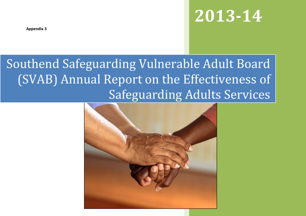**2013-14**

**Appendix 3**

# Southend Safeguarding Vulnerable Adult Board (SVAB) Annual Report on the Effectiveness of Safeguarding Adults Services

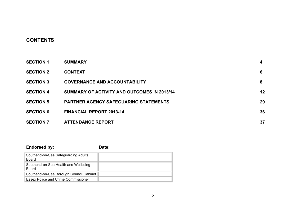# **CONTENTS**

| <b>SECTION 1</b> | <b>SUMMARY</b>                               | 4  |
|------------------|----------------------------------------------|----|
| <b>SECTION 2</b> | <b>CONTEXT</b>                               | 6  |
| <b>SECTION 3</b> | <b>GOVERNANCE AND ACCOUNTABILITY</b>         | 8  |
| <b>SECTION 4</b> | SUMMARY OF ACTIVITY AND OUTCOMES IN 2013/14  | 12 |
| <b>SECTION 5</b> | <b>PARTNER AGENCY SAFEGUARING STATEMENTS</b> | 29 |
| <b>SECTION 6</b> | <b>FINANCIAL REPORT 2013-14</b>              | 36 |
| <b>SECTION 7</b> | <b>ATTENDANCE REPORT</b>                     | 37 |

## **Endorsed by: Date:** Southend-on-Sea Safeguarding Adults Board Southend-on-Sea Health and Wellbeing Board Southend-on-Sea Borough Council Cabinet Essex Police and Crime Commissioner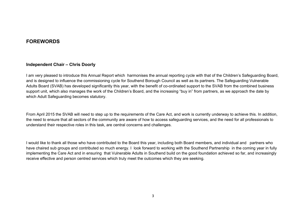# **FOREWORDS**

#### **Independent Chair – Chris Doorly**

I am very pleased to introduce this Annual Report which harmonises the annual reporting cycle with that of the Children's Safeguarding Board, and is designed to influence the commissioning cycle for Southend Borough Council as well as its partners. The Safeguarding Vulnerable Adults Board (SVAB) has developed significantly this year, with the benefit of co-ordinated support to the SVAB from the combined business support unit, which also manages the work of the Children's Board, and the increasing "buy in" from partners, as we approach the date by which Adult Safeguarding becomes statutory.

From April 2015 the SVAB will need to step up to the requirements of the Care Act, and work is currently underway to achieve this. In addition, the need to ensure that all sectors of the community are aware of how to access safeguarding services, and the need for all professionals to understand their respective roles in this task, are central concerns and challenges.

I would like to thank all those who have contributed to the Board this year, including both Board members, and individual and partners who have chaired sub groups and contributed so much energy. I look forward to working with the Southend Partnership in the coming year in fully implementing the Care Act and in ensuring that Vulnerable Adults in Southend build on the good foundation achieved so far, and increasingly receive effective and person centred services which truly meet the outcomes which they are seeking.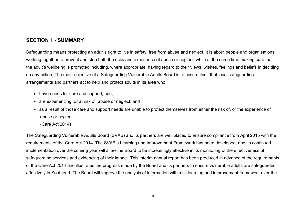# **SECTION 1 - SUMMARY**

Safeguarding means protecting an adult's right to live in safety, free from abuse and neglect. It is about people and organisations working together to prevent and stop both the risks and experience of abuse or neglect, while at the same time making sure that the adult's wellbeing is promoted including, where appropriate, having regard to their views, wishes, feelings and beliefs in deciding on any action. The main objective of a Safeguarding Vulnerable Adults Board is to assure itself that local safeguarding arrangements and partners act to help and protect adults in its area who

- have needs for care and support, and;
- are experiencing, or at risk of, abuse or neglect; and
- as a result of those care and support needs are unable to protect themselves from either the risk of, or the experience of abuse or neglect.
	- (Care Act 2014)

The Safeguarding Vulnerable Adults Board (SVAB) and its partners are well placed to ensure compliance from April 2015 with the requirements of the Care Act 2014. The SVAB's Learning and Improvement Framework has been developed, and its continued implementation over the coming year will allow the Board to be increasingly effective in its monitoring of the effectiveness of safeguarding services and evidencing of their impact. This interim annual report has been produced in advance of the requirements of the Care Act 2014 and illustrates the progress made by the Board and its partners to ensure vulnerable adults are safeguarded effectively in Southend. The Board will improve the analysis of information within its learning and improvement framework over the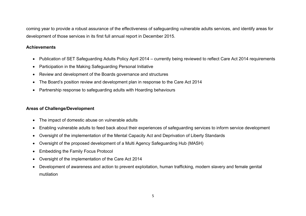coming year to provide a robust assurance of the effectiveness of safeguarding vulnerable adults services, and identify areas for development of those services in its first full annual report in December 2015.

## **Achievements**

- Publication of SET Safeguarding Adults Policy April 2014 currently being reviewed to reflect Care Act 2014 requirements
- Participation in the Making Safeguarding Personal Initiative
- Review and development of the Boards governance and structures
- The Board's position review and development plan in response to the Care Act 2014
- Partnership response to safeguarding adults with Hoarding behaviours

## **Areas of Challenge/Development**

- The impact of domestic abuse on vulnerable adults
- Enabling vulnerable adults to feed back about their experiences of safeguarding services to inform service development
- Oversight of the implementation of the Mental Capacity Act and Deprivation of Liberty Standards
- Oversight of the proposed development of a Multi Agency Safeguarding Hub (MASH)
- Embedding the Family Focus Protocol
- Oversight of the implementation of the Care Act 2014
- Development of awareness and action to prevent exploitation, human trafficking, modern slavery and female genital mutilation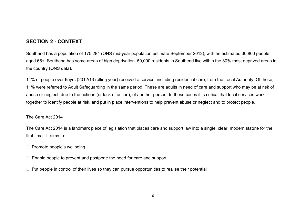# **SECTION 2 - CONTEXT**

Southend has a population of 175,284 (ONS mid-year population estimate September 2012), with an estimated 30,800 people aged 65+. Southend has some areas of high deprivation. 50,000 residents in Southend live within the 30% most deprived areas in the country (ONS data).

14% of people over 65yrs (2012/13 rolling year) received a service, including residential care, from the Local Authority. Of these, 11% were referred to Adult Safeguarding in the same period. These are adults in need of care and support who may be at risk of abuse or neglect, due to the actions (or lack of action), of another person. In these cases it is critical that local services work together to identify people at risk, and put in place interventions to help prevent abuse or neglect and to protect people.

## The Care Act 2014

The Care Act 2014 is a landmark piece of legislation that places care and support law into a single, clear, modern statute for the first time. It aims to:

 $\Box$  Promote people's wellbeing

 $\Box$  Enable people to prevent and postpone the need for care and support

 $\Box$  Put people in control of their lives so they can pursue opportunities to realise their potential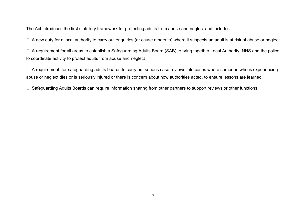The Act introduces the first statutory framework for protecting adults from abuse and neglect and includes:

□ A new duty for a local authority to carry out enquiries (or cause others to) where it suspects an adult is at risk of abuse or neglect

□ A requirement for all areas to establish a Safeguarding Adults Board (SAB) to bring together Local Authority, NHS and the police to coordinate activity to protect adults from abuse and neglect

 $\Box$  A requirement for safeguarding adults boards to carry out serious case reviews into cases where someone who is experiencing abuse or neglect dies or is seriously injured or there is concern about how authorities acted, to ensure lessons are learned

□ Safeguarding Adults Boards can require information sharing from other partners to support reviews or other functions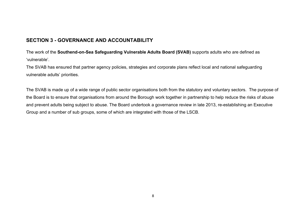# **SECTION 3 - GOVERNANCE AND ACCOUNTABILITY**

The work of the **Southend-on-Sea Safeguarding Vulnerable Adults Board (SVAB)** supports adults who are defined as 'vulnerable'.

The SVAB has ensured that partner agency policies, strategies and corporate plans reflect local and national safeguarding vulnerable adults' priorities.

The SVAB is made up of a wide range of public sector organisations both from the statutory and voluntary sectors. The purpose of the Board is to ensure that organisations from around the Borough work together in partnership to help reduce the risks of abuse and prevent adults being subject to abuse. The Board undertook a governance review in late 2013, re-establishing an Executive Group and a number of sub groups, some of which are integrated with those of the LSCB.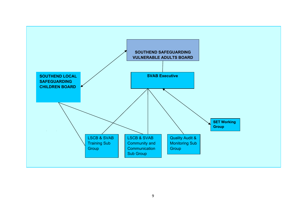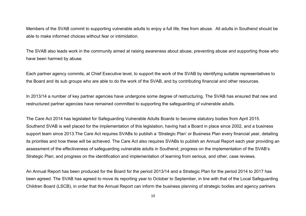Members of the SVAB commit to supporting vulnerable adults to enjoy a full life, free from abuse. All adults in Southend should be able to make informed choices without fear or intimidation.

The SVAB also leads work in the community aimed at raising awareness about abuse, preventing abuse and supporting those who have been harmed by abuse.

Each partner agency commits, at Chief Executive level, to support the work of the SVAB by identifying suitable representatives to the Board and its sub groups who are able to do the work of the SVAB, and by contributing financial and other resources.

In 2013/14 a number of key partner agencies have undergone some degree of restructuring. The SVAB has ensured that new and restructured partner agencies have remained committed to supporting the safeguarding of vulnerable adults.

The Care Act 2014 has legislated for Safeguarding Vulnerable Adults Boards to become statutory bodies from April 2015. Southend SVAB is well placed for the implementation of this legislation, having had a Board in place since 2002, and a business support team since 2013.The Care Act requires SVABs to publish a 'Strategic Plan' or Business Plan every financial year, detailing its priorities and how these will be achieved. The Care Act also requires SVABs to publish an Annual Report each year providing an assessment of the effectiveness of safeguarding vulnerable adults in Southend; progress on the implementation of the SVAB's Strategic Plan; and progress on the identification and implementation of learning from serious, and other, case reviews.

An Annual Report has been produced for the Board for the period 2013/14 and a Strategic Plan for the period 2014 to 2017 has been agreed. The SVAB has agreed to move its reporting year to October to September, in line with that of the Local Safeguarding Children Board (LSCB), in order that the Annual Report can inform the business planning of strategic bodies and agency partners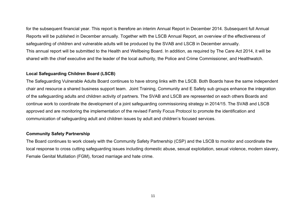for the subsequent financial year. This report is therefore an interim Annual Report in December 2014. Subsequent full Annual Reports will be published in December annually. Together with the LSCB Annual Report, an overview of the effectiveness of safeguarding of children and vulnerable adults will be produced by the SVAB and LSCB in December annually. This annual report will be submitted to the Health and Wellbeing Board. In addition, as required by The Care Act 2014, it will be shared with the chief executive and the leader of the local authority, the Police and Crime Commissioner, and Healthwatch.

#### **Local Safeguarding Children Board (LSCB)**

The Safeguarding Vulnerable Adults Board continues to have strong links with the LSCB. Both Boards have the same independent chair and resource a shared business support team. Joint Training, Community and E Safety sub groups enhance the integration of the safeguarding adults and children activity of partners. The SVAB and LSCB are represented on each others Boards and continue work to coordinate the development of a joint safeguarding commissioning strategy in 2014/15. The SVAB and LSCB approved and are monitoring the implementation of the revised Family Focus Protocol to promote the identification and communication of safeguarding adult and children issues by adult and children's focused services.

#### **Community Safety Partnership**

The Board continues to work closely with the Community Safety Partnership (CSP) and the LSCB to monitor and coordinate the local response to cross cutting safeguarding issues including domestic abuse, sexual exploitation, sexual violence, modern slavery, Female Genital Mutilation (FGM), forced marriage and hate crime.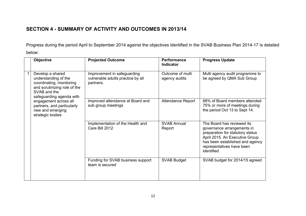# **SECTION 4 - SUMMARY OF ACTIVITY AND OUTCOMES IN 2013/14**

Progress during the period April to September 2014 against the objectives identified in the SVAB Business Plan 2014-17 is detailed below:

|  | <b>Objective</b>                                                                                                                                 | <b>Projected Outcome</b>                                                      | <b>Performance</b><br><b>Indicator</b> | <b>Progress Update</b>                                                                                                                                                                                       |
|--|--------------------------------------------------------------------------------------------------------------------------------------------------|-------------------------------------------------------------------------------|----------------------------------------|--------------------------------------------------------------------------------------------------------------------------------------------------------------------------------------------------------------|
|  | Develop a shared<br>understanding of the<br>coordinating, monitoring<br>and scrutinizing role of the<br>SVAB and the<br>safeguarding agenda with | Improvement in safeguarding<br>vulnerable adults practice by all<br>partners. | Outcome of multi<br>agency audits      | Multi agency audit programme to<br>be agreed by QMA Sub Group                                                                                                                                                |
|  | engagement across all<br>partners, and particularly<br>new and emerging<br>strategic bodies                                                      | Improved attendance at Board and<br>sub group meetings                        | <b>Attendance Report</b>               | 68% of Board members attended<br>75% or more of meetings during<br>the period Oct 13 to Sept 14.                                                                                                             |
|  |                                                                                                                                                  | Implementation of the Health and<br>Care Bill 2012                            | <b>SVAB Annual</b><br>Report           | The Board has reviewed its<br>governance arrangements in<br>preparation for statutory status<br>April 2015. An Executive Group<br>has been established and agency<br>representatives have been<br>identified |
|  |                                                                                                                                                  | Funding for SVAB business support<br>team is secured                          | <b>SVAB Budget</b>                     | SVAB budget for 2014/15 agreed                                                                                                                                                                               |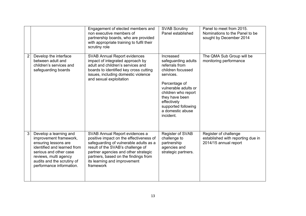|                |                                                                                                                                                                                                                      | Engagement of elected members and<br>non executive members of<br>partnership boards, who are provided<br>with appropriate training to fulfil their<br>scrutiny role                                                                                                                   | <b>SVAB Scrutiny</b><br>Panel established                                                                                                                                                                                                     | Panel to meet from 2015.<br>Nominations to the Panel to be<br>sought by December 2014 |
|----------------|----------------------------------------------------------------------------------------------------------------------------------------------------------------------------------------------------------------------|---------------------------------------------------------------------------------------------------------------------------------------------------------------------------------------------------------------------------------------------------------------------------------------|-----------------------------------------------------------------------------------------------------------------------------------------------------------------------------------------------------------------------------------------------|---------------------------------------------------------------------------------------|
| $\overline{2}$ | Develop the interface<br>between adult and<br>children's services and<br>safeguarding boards                                                                                                                         | <b>SVAB Annual Report evidences</b><br>impact of integrated approach by<br>adult and children's services and<br>boards to identified key cross cutting<br>issues, including domestic violence<br>and sexual exploitation                                                              | Increased<br>safeguarding adults<br>referrals from<br>children focussed<br>services.<br>Percentage of<br>vulnerable adults or<br>children who report<br>they have been<br>effectively<br>supported following<br>a domestic abuse<br>incident. | The QMA Sub Group will be<br>monitoring performance                                   |
| 3              | Develop a learning and<br>improvement framework,<br>ensuring lessons are<br>identified and learned from<br>serious and other case<br>reviews, multi agency<br>audits and the scrutiny of<br>performance information. | SVAB Annual Report evidences a<br>positive impact on the effectiveness of<br>safeguarding of vulnerable adults as a<br>result of the SVAB's challenge of<br>partner agencies and other strategic<br>partners, based on the findings from<br>its learning and improvement<br>framework | Register of SVAB<br>challenge to<br>partnership<br>agencies and<br>strategic partners.                                                                                                                                                        | Register of challenge<br>established with reporting due in<br>2014/15 annual report   |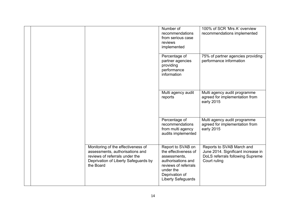|  |                                                                                                                                                              | Number of<br>recommendations<br>from serious case<br>reviews<br>implemented                                                                                  | 100% of SCR 'Mrs A' overview<br>recommendations implemented                                                         |
|--|--------------------------------------------------------------------------------------------------------------------------------------------------------------|--------------------------------------------------------------------------------------------------------------------------------------------------------------|---------------------------------------------------------------------------------------------------------------------|
|  |                                                                                                                                                              | Percentage of<br>partner agencies<br>providing<br>performance<br>information                                                                                 | 75% of partner agencies providing<br>performance information                                                        |
|  |                                                                                                                                                              | Multi agency audit<br>reports                                                                                                                                | Multi agency audit programme<br>agreed for implementation from<br>early 2015                                        |
|  |                                                                                                                                                              | Percentage of<br>recommendations<br>from multi agency<br>audits implemented                                                                                  | Multi agency audit programme<br>agreed for implementation from<br>early 2015                                        |
|  | Monitoring of the effectiveness of<br>assessments, authorisations and<br>reviews of referrals under the<br>Deprivation of Liberty Safeguards by<br>the Board | Report to SVAB on<br>the effectiveness of<br>assessments,<br>authorisations and<br>reviews of referrals<br>under the<br>Deprivation of<br>Liberty Safeguards | Reports to SVAB March and<br>June 2014. Significant increase in<br>DoLS referrals following Supreme<br>Court ruling |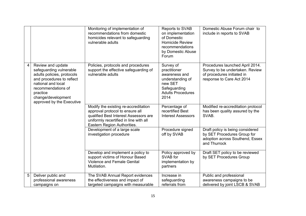|   |                                                                                                                                                                                                                    | Monitoring of implementation of<br>recommendations from domestic<br>homicides relevant to safeguarding<br>vulnerable adults                                                               | Reports to SVAB<br>on implementation<br>of Domestic<br><b>Homicide Review</b><br>recommendations<br>by Domestic Abuse<br>Forum | Domestic Abuse Forum chair to<br>include in reports to SVAB                                                                   |
|---|--------------------------------------------------------------------------------------------------------------------------------------------------------------------------------------------------------------------|-------------------------------------------------------------------------------------------------------------------------------------------------------------------------------------------|--------------------------------------------------------------------------------------------------------------------------------|-------------------------------------------------------------------------------------------------------------------------------|
| 4 | Review and update<br>safeguarding vulnerable<br>adults policies, protocols<br>and procedures to reflect<br>national and local<br>recommendations of<br>practice<br>change/development<br>approved by the Executive | Policies, protocols and procedures<br>support the effective safeguarding of<br>vulnerable adults                                                                                          | Survey of<br>practitioner<br>awareness and<br>understanding of<br>new SET<br>Safeguarding<br><b>Adults Procedures</b><br>2014  | Procedures launched April 2014.<br>Survey to be undertaken. Review<br>of procedures initiated in<br>response to Care Act 2014 |
|   |                                                                                                                                                                                                                    | Modify the existing re-accreditation<br>approval protocol to ensure all<br>qualified Best Interest Assessors are<br>uniformly recertified in line with all<br>Eastern Region Authorities. | Percentage of<br>recertified Best<br><b>Interest Assessors</b>                                                                 | Modified re-accreditation protocol<br>has been quality assured by the<br>SVAB.                                                |
|   |                                                                                                                                                                                                                    | Development of a large scale<br>investigation procedure                                                                                                                                   | Procedure signed<br>off by SVAB                                                                                                | Draft policy is being considered<br>by SET Procedures Group for<br>adoption across Southend, Essex<br>and Thurrock            |
|   |                                                                                                                                                                                                                    | Develop and implement a policy to<br>support victims of Honour Based<br><b>Violence and Female Genital</b><br>Mutilation.                                                                 | Policy approved by<br>SVAB for<br>implementation by<br>partners                                                                | Draft SET policy to be reviewed<br>by SET Procedures Group                                                                    |
| 5 | Deliver public and<br>professional awareness<br>campaigns on                                                                                                                                                       | The SVAB Annual Report evidences<br>the effectiveness and impact of<br>targeted campaigns with measurable                                                                                 | Increase in<br>safeguarding<br>referrals from                                                                                  | Public and professional<br>awareness campaigns to be<br>delivered by joint LSCB & SVAB                                        |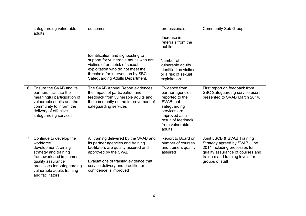|                | safeguarding vulnerable<br>adults                                                                                                                                                                                     | outcomes                                                                                                                                                                                                                                             | professionals.                                                                                                                                                        | <b>Community Sub Group</b>                                                                                                                                                            |
|----------------|-----------------------------------------------------------------------------------------------------------------------------------------------------------------------------------------------------------------------|------------------------------------------------------------------------------------------------------------------------------------------------------------------------------------------------------------------------------------------------------|-----------------------------------------------------------------------------------------------------------------------------------------------------------------------|---------------------------------------------------------------------------------------------------------------------------------------------------------------------------------------|
|                |                                                                                                                                                                                                                       |                                                                                                                                                                                                                                                      | Increase in<br>referrals from the<br>public.                                                                                                                          |                                                                                                                                                                                       |
|                |                                                                                                                                                                                                                       | Identification and signposting to<br>support for vulnerable adults who are<br>victims of or at risk of sexual<br>exploitation who do not meet the<br>threshold for intervention by SBC<br>Safeguarding Adults Department.                            | Number of<br>vulnerable adults<br>identified as victims<br>or a risk of sexual<br>exploitation                                                                        |                                                                                                                                                                                       |
| 6              | Ensure the SVAB and its<br>partners facilitate the<br>meaningful participation of<br>vulnerable adults and the<br>community to inform the<br>delivery of effective<br>safeguarding services                           | The SVAB Annual Report evidences<br>the impact of participation and<br>feedback from vulnerable adults and<br>the community on the improvement of<br>safeguarding services                                                                           | Evidence from<br>partner agencies<br>reported to the<br>SVAB that<br>safeguarding<br>services are<br>improved as a<br>result of feedback<br>from vulnerable<br>adults | First report on feedback from<br>SBC Safeguarding service users<br>presented to SVAB March 2014.                                                                                      |
| $\overline{7}$ | Continue to develop the<br>workforce<br>development/training<br>strategy and training<br>framework and implement<br>quality assurance<br>processes for safeguarding<br>vulnerable adults training<br>and facilitators | All training delivered by the SVAB and<br>its partner agencies and training<br>facilitators are quality assured and<br>approved by the SVAB.<br>Evaluations of training evidence that<br>service delivery and practitioner<br>confidence is improved | Report to Board on<br>number of courses<br>and trainers quality<br>assured                                                                                            | Joint LSCB & SVAB Training<br>Strategy agreed by SVAB June<br>2014 including processes for<br>quality assurance of courses and<br>trainers and training levels for<br>groups of staff |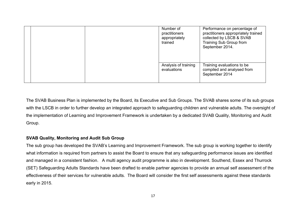|  | Number of<br>practitioners<br>appropriately<br>trained | Performance on percentage of<br>practitioners appropriately trained<br>collected by LSCB & SVAB<br>Training Sub Group from<br>September 2014. |
|--|--------------------------------------------------------|-----------------------------------------------------------------------------------------------------------------------------------------------|
|  | Analysis of training<br>evaluations                    | Training evaluations to be<br>compiled and analysed from<br>September 2014                                                                    |

The SVAB Business Plan is implemented by the Board, its Executive and Sub Groups. The SVAB shares some of its sub groups with the LSCB in order to further develop an integrated approach to safeguarding children and vulnerable adults. The oversight of the implementation of Learning and Improvement Framework is undertaken by a dedicated SVAB Quality, Monitoring and Audit Group.

## **SVAB Quality, Monitoring and Audit Sub Group**

The sub group has developed the SVAB's Learning and Improvement Framework. The sub group is working together to identify what information is required from partners to assist the Board to ensure that any safeguarding performance issues are identified and managed in a consistent fashion. A multi agency audit programme is also in development. Southend, Essex and Thurrock (SET) Safeguarding Adults Standards have been drafted to enable partner agencies to provide an annual self assessment of the effectiveness of their services for vulnerable adults. The Board will consider the first self assessments against these standards early in 2015.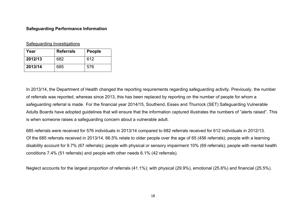## **Safeguarding Performance Information**

## Safeguarding Investigations

| Year    | <b>Referrals</b> | <b>People</b> |
|---------|------------------|---------------|
| 2012/13 | 682              | 612           |
| 2013/14 | 685              | 576           |

In 2013/14, the Department of Health changed the reporting requirements regarding safeguarding activity. Previously, the number of referrals was reported, whereas since 2013, this has been replaced by reporting on the number of people for whom a safeguarding referral is made. For the financial year 2014/15, Southend, Essex and Thurrock (SET) Safeguarding Vulnerable Adults Boards have adopted guidelines that will ensure that the information captured illustrates the numbers of "alerts raised". This is when someone raises a safeguarding concern about a vulnerable adult.

685 referrals were received for 576 individuals in 2013/14 compared to 682 referrals received for 612 individuals in 2012/13. Of the 685 referrals received in 2013/14, 66.5% relate to older people over the age of 65 (456 referrals); people with a learning disability account for 9.7% (67 referrals); people with physical or sensory impairment 10% (69 referrals); people with mental health conditions 7.4% (51 referrals) and people with other needs 6.1% (42 referrals).

Neglect accounts for the largest proportion of referrals (41.1%); with physical (29.9%), emotional (25.6%) and financial (25.5%).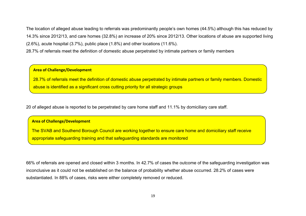The location of alleged abuse leading to referrals was predominantly people's own homes (44.5%) although this has reduced by 14.3% since 2012/13, and care homes (32.8%) an increase of 20% since 2012/13. Other locations of abuse are supported living (2.6%), acute hospital (3.7%), public place (1.8%) and other locations (11.6%).

28.7% of referrals meet the definition of domestic abuse perpetrated by intimate partners or family members

**Area of Challenge/Development**

28.7% of referrals meet the definition of domestic abuse perpetrated by intimate partners or family members. Domestic abuse is identified as a significant cross cutting priority for all strategic groups

20 of alleged abuse is reported to be perpetrated by care home staff and 11.1% by domiciliary care staff.

#### **Area of Challenge/Development**

The SVAB and Southend Borough Council are working together to ensure care home and domiciliary staff receive appropriate safeguarding training and that safeguarding standards are monitored

66% of referrals are opened and closed within 3 months. In 42.7% of cases the outcome of the safeguarding investigation was inconclusive as it could not be established on the balance of probability whether abuse occurred. 28.2% of cases were substantiated. In 88% of cases, risks were either completely removed or reduced.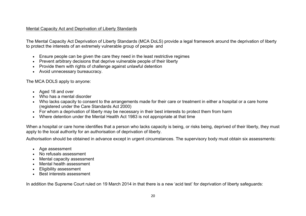## Mental Capacity Act and Deprivation of Liberty Standards

The Mental Capacity Act Deprivation of Liberty Standards (MCA DoLS) provide a legal framework around the deprivation of liberty to protect the interests of an extremely vulnerable group of people and

- Ensure people can be given the care they need in the least restrictive regimes
- Prevent arbitrary decisions that deprive vulnerable people of their liberty
- Provide them with rights of challenge against unlawful detention
- Avoid unnecessary bureaucracy.

The MCA DOLS apply to anyone:

- Aged 18 and over
- Who has a mental disorder
- Who lacks capacity to consent to the arrangements made for their care or treatment in either a hospital or a care home (registered under the Care Standards Act 2000)
- For whom a deprivation of liberty may be necessary in their best interests to protect them from harm
- Where detention under the Mental Health Act 1983 is not appropriate at that time

When a hospital or care home identifies that a person who lacks capacity is being, or risks being, deprived of their liberty, they must apply to the local authority for an authorisation of deprivation of liberty.

Authorisation should be obtained in advance except in urgent circumstances. The supervisory body must obtain six assessments:

- Age assessment
- No refusals assessment
- Mental capacity assessment
- Mental health assessment
- Eligibility assessment
- Best interests assessment

In addition the Supreme Court ruled on 19 March 2014 in that there is a new 'acid test' for deprivation of liberty safeguards: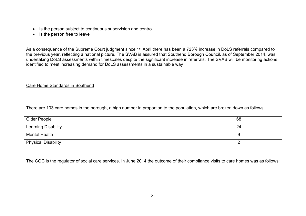- Is the person subject to continuous supervision and control
- Is the person free to leave

As a consequence of the Supreme Court judgment since 1<sup>st</sup> April there has been a 723% increase in DoLS referrals compared to the previous year, reflecting a national picture. The SVAB is assured that Southend Borough Council, as of September 2014, was undertaking DoLS assessments within timescales despite the significant increase in referrals. The SVAB will be monitoring actions identified to meet increasing demand for DoLS assessments in a sustainable way

## Care Home Standards in Southend

There are 103 care homes in the borough, a high number in proportion to the population, which are broken down as follows:

| Older People        | 68 |
|---------------------|----|
| Learning Disability | 24 |
| Mental Health       |    |
| Physical Disability |    |

The CQC is the regulator of social care services. In June 2014 the outcome of their compliance visits to care homes was as follows: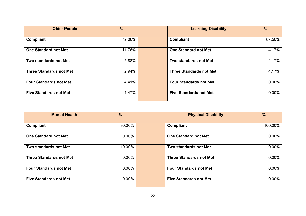| <b>Older People</b>            | $\frac{0}{0}$ | <b>Learning Disability</b>     | $\frac{9}{6}$ |
|--------------------------------|---------------|--------------------------------|---------------|
| Compliant                      | 72.06%        | Compliant                      | 87.50%        |
| <b>One Standard not Met</b>    | 11.76%        | <b>One Standard not Met</b>    | 4.17%         |
| Two standards not Met          | 5.88%         | Two standards not Met          | 4.17%         |
| <b>Three Standards not Met</b> | 2.94%         | <b>Three Standards not Met</b> | 4.17%         |
| <b>Four Standards not Met</b>  | 4.41%         | <b>Four Standards not Met</b>  | $0.00\%$      |
| <b>Five Standards not Met</b>  | 1.47%         | <b>Five Standards not Met</b>  | $0.00\%$      |

| <b>Mental Health</b>           | $\frac{9}{6}$ | <b>Physical Disability</b>     | $\frac{0}{0}$ |
|--------------------------------|---------------|--------------------------------|---------------|
| Compliant                      | 90.00%        | <b>Compliant</b>               | 100.00%       |
|                                |               |                                |               |
| <b>One Standard not Met</b>    | $0.00\%$      | <b>One Standard not Met</b>    | $0.00\%$      |
| <b>Two standards not Met</b>   | 10.00%        | Two standards not Met          | $0.00\%$      |
| <b>Three Standards not Met</b> | $0.00\%$      | <b>Three Standards not Met</b> | $0.00\%$      |
| <b>Four Standards not Met</b>  | $0.00\%$      | <b>Four Standards not Met</b>  | $0.00\%$      |
| <b>Five Standards not Met</b>  | $0.00\%$      | <b>Five Standards not Met</b>  | $0.00\%$      |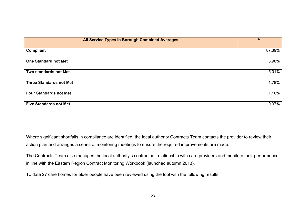| <b>All Service Types In Borough Combined Averages</b> | $\frac{9}{6}$ |
|-------------------------------------------------------|---------------|
| Compliant                                             | 87.39%        |
| <b>One Standard not Met</b>                           | 3.98%         |
| Two standards not Met                                 | 5.01%         |
| <b>Three Standards not Met</b>                        | 1.78%         |
| <b>Four Standards not Met</b>                         | 1.10%         |
| <b>Five Standards not Met</b>                         | 0.37%         |

Where significant shortfalls in compliance are identified, the local authority Contracts Team contacts the provider to review their action plan and arranges a series of monitoring meetings to ensure the required improvements are made.

The Contracts Team also manages the local authority's contractual relationship with care providers and monitors their performance in line with the Eastern Region Contract Monitoring Workbook (launched autumn 2013).

To date 27 care homes for older people have been reviewed using the tool with the following results: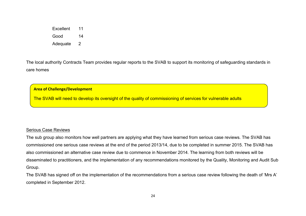Excellent 11 Good 14

Adequate 2

The local authority Contracts Team provides regular reports to the SVAB to support its monitoring of safeguarding standards in care homes

#### **Area of Challenge/Development**

The SVAB will need to develop its oversight of the quality of commissioning of services for vulnerable adults

#### Serious Case Reviews

The sub group also monitors how well partners are applying what they have learned from serious case reviews. The SVAB has commissioned one serious case reviews at the end of the period 2013/14, due to be completed in summer 2015. The SVAB has also commissioned an alternative case review due to commence in November 2014. The learning from both reviews will be disseminated to practitioners, and the implementation of any recommendations monitored by the Quality, Monitoring and Audit Sub Group.

The SVAB has signed off on the implementation of the recommendations from a serious case review following the death of 'Mrs A' completed in September 2012.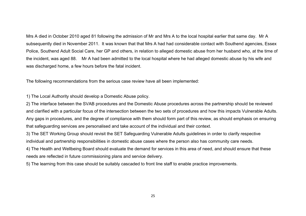Mrs A died in October 2010 aged 81 following the admission of Mr and Mrs A to the local hospital earlier that same day. Mr A subsequently died in November 2011. It was known that that Mrs A had had considerable contact with Southend agencies, Essex Police, Southend Adult Social Care, her GP and others, in relation to alleged domestic abuse from her husband who, at the time of the incident, was aged 88. Mr A had been admitted to the local hospital where he had alleged domestic abuse by his wife and was discharged home, a few hours before the fatal incident.

The following recommendations from the serious case review have all been implemented:

1) The Local Authority should develop a Domestic Abuse policy.

2) The interface between the SVAB procedures and the Domestic Abuse procedures across the partnership should be reviewed and clarified with a particular focus of the intersection between the two sets of procedures and how this impacts Vulnerable Adults. Any gaps in procedures, and the degree of compliance with them should form part of this review, as should emphasis on ensuring that safeguarding services are personalised and take account of the individual and their context.

3) The SET Working Group should revisit the SET Safeguarding Vulnerable Adults guidelines in order to clarify respective individual and partnership responsibilities in domestic abuse cases where the person also has community care needs.

4) The Health and Wellbeing Board should evaluate the demand for services in this area of need, and should ensure that these needs are reflected in future commissioning plans and service delivery.

5) The learning from this case should be suitably cascaded to front line staff to enable practice improvements.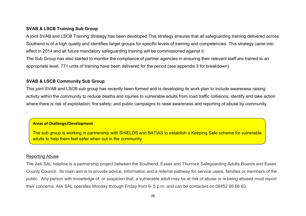#### **SVAB & LSCB Training Sub Group**

A joint SVAB and LSCB Training Strategy has been developed This strategy ensures that all safeguarding training delivered across Southend is of a high quality and identifies target groups for specific levels of training and competencies. This strategy came into effect in 2014 and all future mandatory safeguarding training will be commissioned against it.

The Sub Group has also started to monitor the compliance of partner agencies in ensuring their relevant staff are trained to an appropriate level. 771 units of training have been delivered for the period (see appendix 3 for breakdown)

#### **SVAB & LSCB Community Sub Group**

This joint SVAB and LSCB sub group has recently been formed and is developing its work plan to include awareness raising activity within the community to reduce deaths and injuries to vulnerable adults from road traffic collisions; identify and take action where there is risk of exploitation; fire safety; and public campaigns to raise awareness and reporting of abuse by community.

## **Areas of Challenge/Development**

The sub group is working in partnership with SHIELDS and BATIAS to establish a Keeping Safe scheme for vulnerable adults to help them feel safer when out in the community

#### Reporting Abuse

.

The Ask SAL helpline is a partnership project between the Southend, Essex and Thurrock Safeguarding Adults Boards and Essex County Council. Its main aim is to provide advice, information and a referral pathway for service users, families or members of the public. Any person with knowledge of, or suspicion that, a vulnerable adult may be at risk of abuse or is being abused must report their concerns. Ask SAL operates Monday through Friday from 9- 5 p.m. and can be contacted on 08452 66 66 63.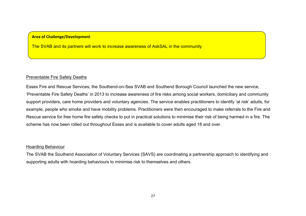#### **Area of Challenge/Development**

The SVAB and its partners will work to increase awareness of AskSAL in the community

#### Preventable Fire Safety Deaths

Essex Fire and Rescue Services, the Southend-on-Sea SVAB and Southend Borough Council launched the new service, 'Preventable Fire Safety Deaths' in 2013 to increase awareness of fire risks among social workers, domiciliary and community support providers, care home providers and voluntary agencies. The service enables practitioners to identify 'at risk' adults, for example, people who smoke and have mobility problems. Practitioners were then encouraged to make referrals to the Fire and Rescue service for free home fire safety checks to put in practical solutions to minimise their risk of being harmed in a fire. The scheme has now been rolled out throughout Essex and is available to cover adults aged 18 and over.

#### Hoarding Behaviour

The SVAB the Southend Association of Voluntary Services (SAVS) are coordinating a partnership approach to identifying and supporting adults with hoarding behaviours to minimise risk to themselves and others.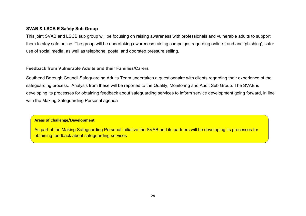## **SVAB & LSCB E Safety Sub Group**

This joint SVAB and LSCB sub group will be focusing on raising awareness with professionals and vulnerable adults to support them to stay safe online. The group will be undertaking awareness raising campaigns regarding online fraud and 'phishing', safer use of social media, as well as telephone, postal and doorstep pressure selling.

## **Feedback from Vulnerable Adults and their Families/Carers**

Southend Borough Council Safeguarding Adults Team undertakes a questionnaire with clients regarding their experience of the safeguarding process. Analysis from these will be reported to the Quality, Monitoring and Audit Sub Group. The SVAB is developing its processes for obtaining feedback about safeguarding services to inform service development going forward, in line with the Making Safeguarding Personal agenda

## **Areas of Challenge/Development**

As part of the Making Safeguarding Personal initiative the SVAB and its partners will be developing its processes for obtaining feedback about safeguarding services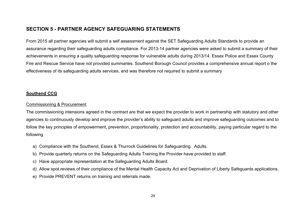# **SECTION 5 - PARTNER AGENCY SAFEGUARING STATEMENTS**

From 2015 all partner agencies will submit a self assessment against the SET Safeguarding Adults Standards to provide an assurance regarding their safeguarding adults compliance. For 2013-14 partner agencies were asked to submit a summary of their achievements in ensuring a quality safeguarding response for vulnerable adults during 2013/14. Essex Police and Essex County Fire and Rescue Service have not provided summaries. Southend Borough Council provides a comprehensive annual report o the effectiveness of its safeguarding adults services, and was therefore not required to submit a summary

## **Southend CCG**

## Commissioning & Procurement

The commissioning intensions agreed in the contract are that we expect the provider to work in partnership with statutory and other agencies to continuously develop and improve the provider's ability to safeguard adults and improve safeguarding outcomes and to follow the key principles of empowerment, prevention, proportionality, protection and accountability, paying particular regard to the following

- a) Compliance with the Southend, Essex & Thurrock Guidelines for Safeguarding Adults.
- b) Provide quarterly returns on the Safeguarding Adults Training the Provider have provided to staff.
- c) Have appropriate representation at the Safeguarding Adults Board.
- d) Allow spot reviews of their compliance of the Mental Health Capacity Act and Deprivation of Liberty Safeguards applications.
- e) Provide PREVENT returns on training and referrals made.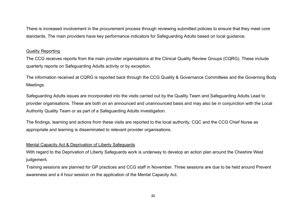There is increased involvement in the procurement process through reviewing submitted policies to ensure that they meet core standards. The main providers have key performance indicators for Safeguarding Adults based on local guidance.

## Quality Reporting

The CCG receives reports from the main provider organisations at the Clinical Quality Review Groups (CQRG). These include quarterly reports on Safeguarding Adults activity or by exception.

The information received at CQRG is reported back through the CCG Quality & Governance Committees and the Governing Body Meetings.

Safeguarding Adults issues are incorporated into the visits carried out by the Quality Team and Safeguarding Adults Lead to provider organisations. These are both on an announced and unannounced basis and may also be in conjunction with the Local Authority Quality Team or as part of a Safeguarding Adults investigation.

The findings, learning and actions from these visits are reported to the local authority, CQC and the CCG Chief Nurse as appropriate and learning is disseminated to relevant provider organisations.

## Mental Capacity Act & Deprivation of Liberty Safeguards

With regard to the Deprivation of Liberty Safeguards work is underway to develop an action plan around the Cheshire West judgement.

Training sessions are planned for GP practices and CCG staff in November. Three sessions are due to be held around Prevent awareness and a 4 hour session on the application of the Mental Capacity Act.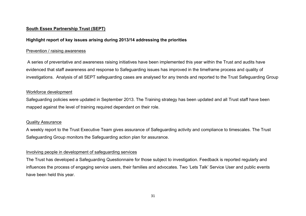## **South Essex Partnership Trust (SEPT)**

## **Highlight report of key issues arising during 2013/14 addressing the priorities**

#### Prevention / raising awareness

A series of preventative and awareness raising initiatives have been implemented this year within the Trust and audits have evidenced that staff awareness and response to Safeguarding issues has improved in the timeframe process and quality of investigations. Analysis of all SEPT safeguarding cases are analysed for any trends and reported to the Trust Safeguarding Group

#### Workforce development

Safeguarding policies were updated in September 2013. The Training strategy has been updated and all Trust staff have been mapped against the level of training required dependant on their role.

#### Quality Assurance

A weekly report to the Trust Executive Team gives assurance of Safeguarding activity and compliance to timescales. The Trust Safeguarding Group monitors the Safeguarding action plan for assurance.

## Involving people in development of safeguarding services

The Trust has developed a Safeguarding Questionnaire for those subject to investigation. Feedback is reported regularly and influences the process of engaging service users, their families and advocates. Two 'Lets Talk' Service User and public events have been held this year.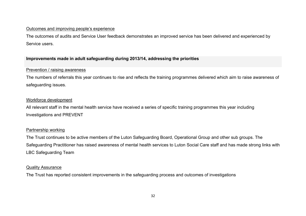#### Outcomes and improving people's experience

The outcomes of audits and Service User feedback demonstrates an improved service has been delivered and experienced by Service users.

## **Improvements made in adult safeguarding during 2013/14, addressing the priorities**

## Prevention / raising awareness

The numbers of referrals this year continues to rise and reflects the training programmes delivered which aim to raise awareness of safeguarding issues.

## Workforce development

All relevant staff in the mental health service have received a series of specific training programmes this year including Investigations and PREVENT

## Partnership working

The Trust continues to be active members of the Luton Safeguarding Board, Operational Group and other sub groups. The Safeguarding Practitioner has raised awareness of mental health services to Luton Social Care staff and has made strong links with LBC Safeguarding Team

#### Quality Assurance

The Trust has reported consistent improvements in the safeguarding process and outcomes of investigations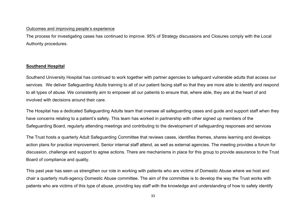#### Outcomes and improving people's experience

The process for investigating cases has continued to improve. 95% of Strategy discussions and Closures comply with the Local Authority procedures.

## **Southend Hospital**

Southend University Hospital has continued to work together with partner agencies to safeguard vulnerable adults that access our services. We deliver Safeguarding Adults training to all of our patient facing staff so that they are more able to identify and respond to all types of abuse. We consistently aim to empower all our patients to ensure that, where able, they are at the heart of and involved with decisions around their care.

The Hospital has a dedicated Safeguarding Adults team that oversee all safeguarding cases and guide and support staff when they have concerns relating to a patient's safety. This team has worked in partnership with other signed up members of the Safeguarding Board, regularly attending meetings and contributing to the development of safeguarding responses and services

The Trust hosts a quarterly Adult Safeguarding Committee that reviews cases, identifies themes, shares learning and develops action plans for practice improvement. Senior internal staff attend, as well as external agencies. The meeting provides a forum for discussion, challenge and support to agree actions. There are mechanisms in place for this group to provide assurance to the Trust Board of compliance and quality.

This past year has seen us strengthen our role in working with patients who are victims of Domestic Abuse where we host and chair a quarterly multi-agency Domestic Abuse committee. The aim of the committee is to develop the way the Trust works with patients who are victims of this type of abuse, providing key staff with the knowledge and understanding of how to safely identify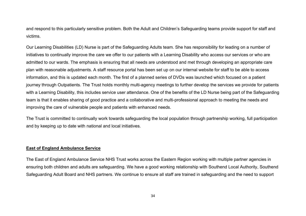and respond to this particularly sensitive problem. Both the Adult and Children's Safeguarding teams provide support for staff and victims.

Our Learning Disabilities (LD) Nurse is part of the Safeguarding Adults team. She has responsibility for leading on a number of initiatives to continually improve the care we offer to our patients with a Learning Disability who access our services or who are admitted to our wards. The emphasis is ensuring that all needs are understood and met through developing an appropriate care plan with reasonable adjustments. A staff resource portal has been set up on our internal website for staff to be able to access information, and this is updated each month. The first of a planned series of DVDs was launched which focused on a patient journey through Outpatients. The Trust holds monthly multi-agency meetings to further develop the services we provide for patients with a Learning Disability, this includes service user attendance. One of the benefits of the LD Nurse being part of the Safeguarding team is that it enables sharing of good practice and a collaborative and multi-professional approach to meeting the needs and improving the care of vulnerable people and patients with enhanced needs.

The Trust is committed to continually work towards safeguarding the local population through partnership working, full participation and by keeping up to date with national and local initiatives.

## **East of England Ambulance Service**

The East of England Ambulance Service NHS Trust works across the Eastern Region working with multiple partner agencies in ensuring both children and adults are safeguarding. We have a good working relationship with Southend Local Authority, Southend Safeguarding Adult Board and NHS partners. We continue to ensure all staff are trained in safeguarding and the need to support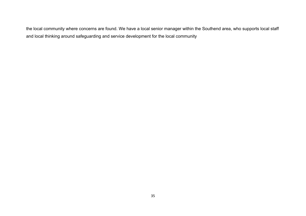the local community where concerns are found. We have a local senior manager within the Southend area, who supports local staff and local thinking around safeguarding and service development for the local community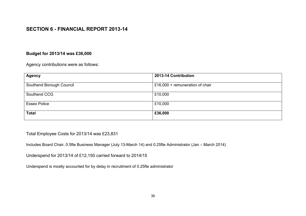# **SECTION 6 - FINANCIAL REPORT 2013-14**

## **Budget for 2013/14 was £36,000**

Agency contributions were as follows:

| <b>Agency</b>            | 2013-14 Contribution            |
|--------------------------|---------------------------------|
| Southend Borough Council | £16,000 + remuneration of chair |
| Southend CCG             | £10,000                         |
| <b>Essex Police</b>      | £10,000                         |
| <b>Total</b>             | £36,000                         |

Total Employee Costs for 2013/14 was £23,831

Includes Board Chair, 0.5fte Business Manager (July 13-March 14) and 0.25fte Administrator (Jan – March 2014)

Underspend for 2013/14 of £12,150 carried forward to 2014/15

Underspend is mostly accounted for by delay in recruitment of 0.25fte administrator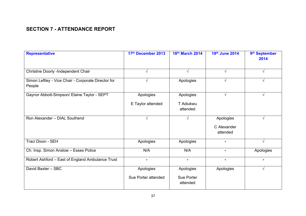# **SECTION 7 - ATTENDANCE REPORT**

| <b>Representative</b>                                         | 17th December 2013               | 18th March 2014                     | 19th June 2014                       | 9 <sup>th</sup> September<br>2014 |
|---------------------------------------------------------------|----------------------------------|-------------------------------------|--------------------------------------|-----------------------------------|
| Christine Doorly -Independent Chair                           | V                                | V                                   | V                                    | V                                 |
| Simon Leftley - Vice Chair - Corporate Director for<br>People | V                                | Apologies                           | $\sqrt{ }$                           | V                                 |
| Gaynor Abbott-Simpson/ Elaine Taylor - SEPT                   | Apologies                        | Apologies                           | $\sqrt{ }$                           | V                                 |
|                                                               | E Taylor attended                | T Adiukwu<br>attended               |                                      |                                   |
| Ron Alexander - DIAL Southend                                 | $\sqrt{ }$                       | $\mathcal{N}$                       | Apologies<br>C Alexander<br>attended | $\sqrt{}$                         |
| Traci Dixon - SEH                                             | Apologies                        | Apologies                           |                                      | V                                 |
| Ch. Insp. Simon Anslow - Essex Police                         | N/A                              | N/A                                 | $\blacksquare$                       | Apologies                         |
| Robert Ashford - East of England Ambulance Trust              |                                  | $\blacksquare$                      | $\blacksquare$                       |                                   |
| David Baxter - SBC                                            | Apologies<br>Sue Porter attended | Apologies<br>Sue Porter<br>attended | Apologies                            | V                                 |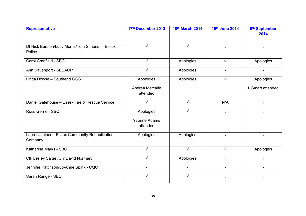| <b>Representative</b>                                      | 17th December 2013                           | 18th March 2014 | 19th June 2014 | 9 <sup>th</sup> September<br>2014 |
|------------------------------------------------------------|----------------------------------------------|-----------------|----------------|-----------------------------------|
| DI Nick Burston/Lucy Morris/Tom Simons - Essex<br>Police   | √                                            |                 |                |                                   |
| Carol Cranfield - SBC                                      | $\sqrt{ }$                                   | Apologies       | $\sqrt{ }$     | Apologies                         |
| Ann Davenport - SEEAOP                                     | V                                            | Apologies       |                |                                   |
| Linda Dowse - Southend CCG                                 | Apologies                                    | Apologies       | $\sqrt{ }$     | Apologies                         |
|                                                            | Andrea Metcalfe<br>attended                  |                 |                | L Smart attended                  |
| Daniel Gatehouse - Essex Fire & Rescue Service             | $\sqrt{ }$                                   | $\sqrt{}$       | N/A            | $\sqrt{ }$                        |
| Ross Gerrie - SBC                                          | Apologies<br><b>Yvonne Adams</b><br>attended |                 | $\sqrt{ }$     |                                   |
| Laurel Juniper - Essex Community Rehabilitation<br>Company | Apologies                                    | Apologies       | $\sqrt{ }$     | $\sqrt{ }$                        |
| Katharine Marks - SBC                                      | $\sqrt{ }$                                   | $\sqrt{ }$      | $\sqrt{ }$     | Apologies                         |
| Cllr Lesley Salter / Cllr David Norman/                    |                                              | Apologies       | V              |                                   |
| Jennifer Pattinson/Lo-Anne Spink - CQC                     |                                              |                 |                |                                   |
| Sarah Range - SBC                                          | $\sqrt{ }$                                   | $\sqrt{}$       | √              | √                                 |